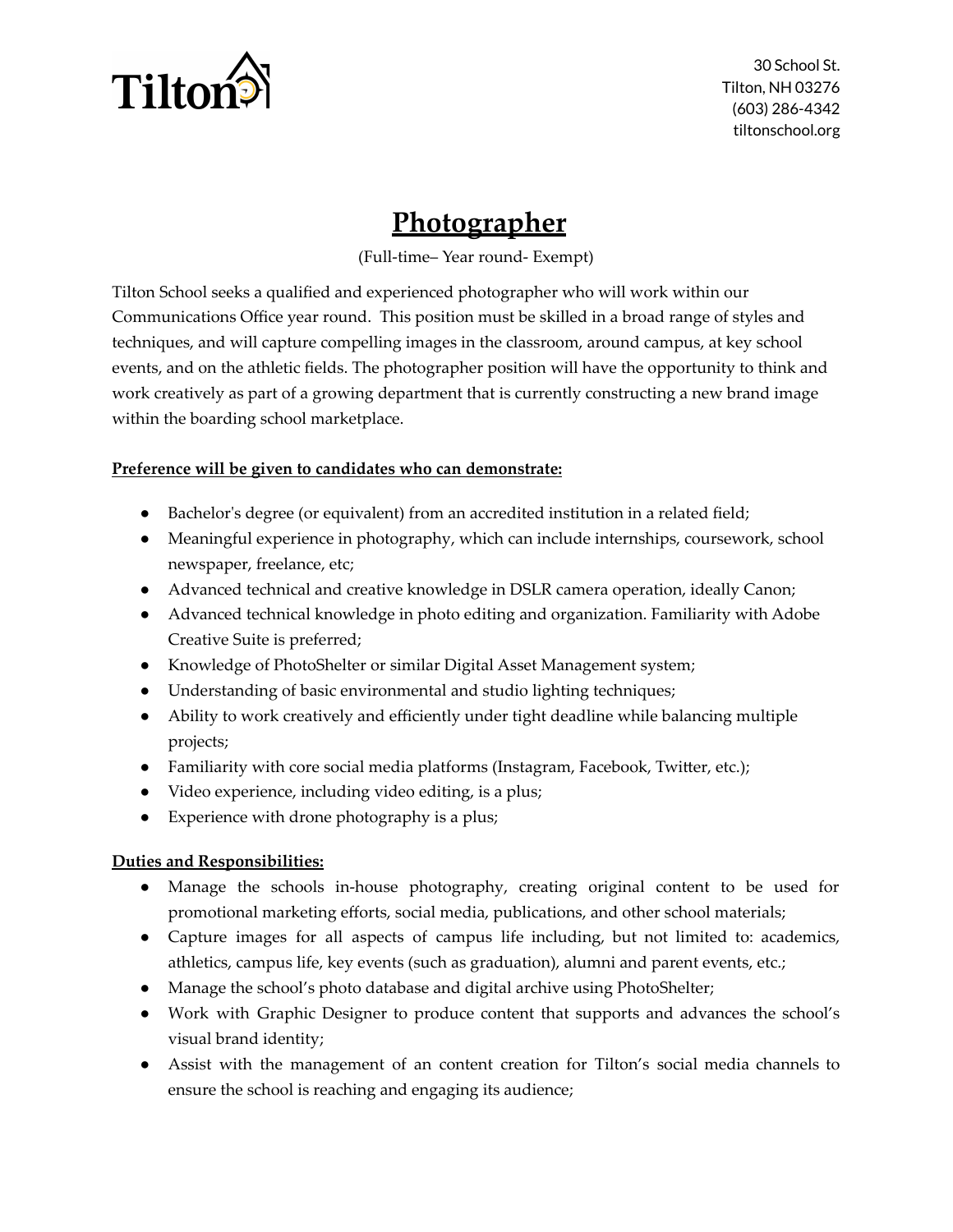

30 School St. Tilton, NH 03276 (603) 286-4342 tiltonschool.org

## **Photographer**

(Full-time– Year round- Exempt)

Tilton School seeks a qualified and experienced photographer who will work within our Communications Office year round. This position must be skilled in a broad range of styles and techniques, and will capture compelling images in the classroom, around campus, at key school events, and on the athletic fields. The photographer position will have the opportunity to think and work creatively as part of a growing department that is currently constructing a new brand image within the boarding school marketplace.

## **Preference will be given to candidates who can demonstrate:**

- Bachelor's degree (or equivalent) from an accredited institution in a related field;
- Meaningful experience in photography, which can include internships, coursework, school newspaper, freelance, etc;
- Advanced technical and creative knowledge in DSLR camera operation, ideally Canon;
- Advanced technical knowledge in photo editing and organization. Familiarity with Adobe Creative Suite is preferred;
- Knowledge of PhotoShelter or similar Digital Asset Management system;
- Understanding of basic environmental and studio lighting techniques;
- Ability to work creatively and efficiently under tight deadline while balancing multiple projects;
- Familiarity with core social media platforms (Instagram, Facebook, Twitter, etc.);
- Video experience, including video editing, is a plus;
- Experience with drone photography is a plus;

## **Duties and Responsibilities:**

- Manage the schools in-house photography, creating original content to be used for promotional marketing efforts, social media, publications, and other school materials;
- Capture images for all aspects of campus life including, but not limited to: academics, athletics, campus life, key events (such as graduation), alumni and parent events, etc.;
- Manage the school's photo database and digital archive using PhotoShelter;
- Work with Graphic Designer to produce content that supports and advances the school's visual brand identity;
- Assist with the management of an content creation for Tilton's social media channels to ensure the school is reaching and engaging its audience;